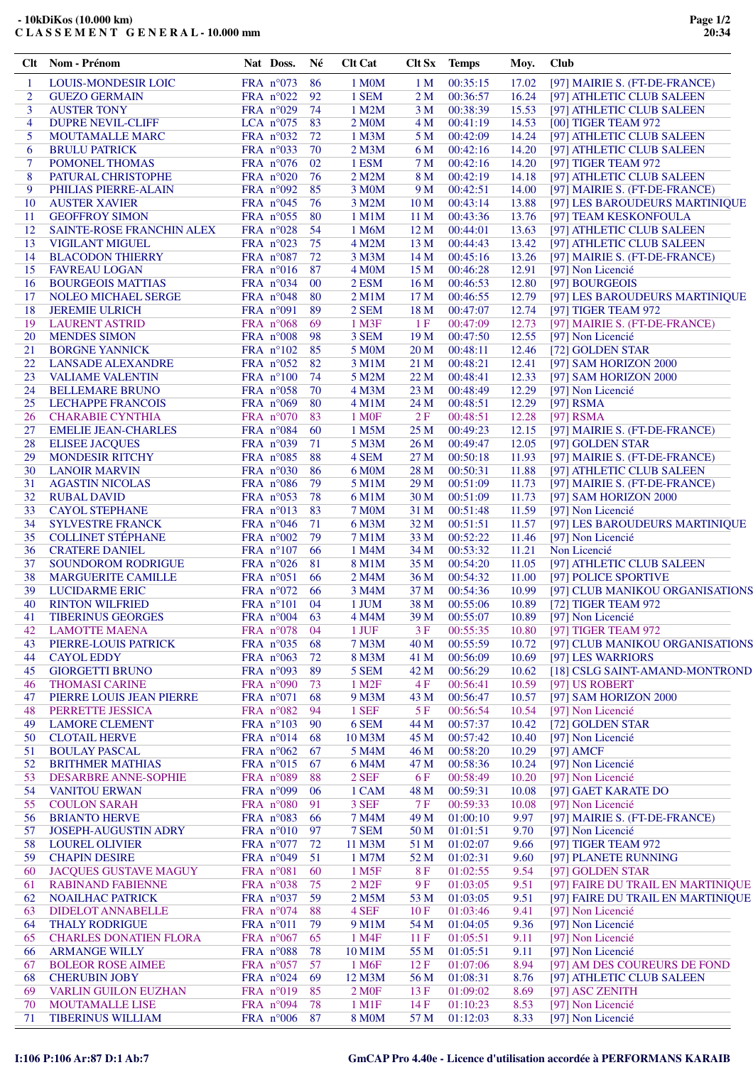## **- 10kDiKos (10.000 km) C L A S S E M E N T G E N E R A L - 10.000 mm**

| Clt            | Nom - Prénom                                      |             | Nat Doss.                                | Né       | <b>Clt Cat</b>         | Clt Sx          | <b>Temps</b>         | Moy.           | <b>Club</b>                                            |
|----------------|---------------------------------------------------|-------------|------------------------------------------|----------|------------------------|-----------------|----------------------|----------------|--------------------------------------------------------|
| 1              | <b>LOUIS-MONDESIR LOIC</b>                        |             | FRA $n^{\circ}073$                       | 86       | 1 M0M                  | 1 M             | 00:35:15             | 17.02          | [97] MAIRIE S. (FT-DE-FRANCE)                          |
| $\overline{2}$ | <b>GUEZO GERMAIN</b>                              |             | FRA n°022                                | 92       | 1 SEM                  | 2 <sub>M</sub>  | 00:36:57             | 16.24          | [97] ATHLETIC CLUB SALEEN                              |
| 3              | <b>AUSTER TONY</b>                                |             | FRA $n^{\circ}029$                       | 74       | 1 M2M                  | 3 M             | 00:38:39             | 15.53          | [97] ATHLETIC CLUB SALEEN                              |
| $\overline{4}$ | <b>DUPRE NEVIL-CLIFF</b>                          |             | LCA $n^{\circ}075$                       | 83       | 2 M <sub>0</sub> M     | 4 M             | 00:41:19             | 14.53          | [00] TIGER TEAM 972                                    |
| 5              | <b>MOUTAMALLE MARC</b>                            |             | FRA $n^{\circ}032$                       | 72       | 1 M3M                  | 5 M             | 00:42:09             | 14.24          | [97] ATHLETIC CLUB SALEEN                              |
| 6<br>7         | <b>BRULU PATRICK</b><br>POMONEL THOMAS            |             | FRA n°033<br>FRA $n^{\circ}076$          | 70<br>02 | $2$ M $3M$<br>1 ESM    | 6 M<br>7 M      | 00:42:16<br>00:42:16 | 14.20<br>14.20 | [97] ATHLETIC CLUB SALEEN<br>[97] TIGER TEAM 972       |
| 8              | PATURAL CHRISTOPHE                                |             | FRA n°020                                | 76       | 2 M2M                  | 8 M             | 00:42:19             | 14.18          | [97] ATHLETIC CLUB SALEEN                              |
| 9              | PHILIAS PIERRE-ALAIN                              |             | FRA $n^{\circ}092$                       | 85       | 3 M0M                  | 9 M             | 00:42:51             | 14.00          | [97] MAIRIE S. (FT-DE-FRANCE)                          |
| 10             | <b>AUSTER XAVIER</b>                              |             | FRA $n^{\circ}045$                       | 76       | 3 M2M                  | 10 <sub>M</sub> | 00:43:14             | 13.88          | [97] LES BAROUDEURS MARTINIQUE                         |
| 11             | <b>GEOFFROY SIMON</b>                             |             | FRA $n^{\circ}055$                       | 80       | 1 M1M                  | 11 M            | 00:43:36             | 13.76          | [97] TEAM KESKONFOULA                                  |
| 12             | SAINTE-ROSE FRANCHIN ALEX                         |             | FRA $n^{\circ}028$                       | 54       | 1 M6M                  | 12 <sub>M</sub> | 00:44:01             | 13.63          | [97] ATHLETIC CLUB SALEEN                              |
| 13             | <b>VIGILANT MIGUEL</b>                            |             | FRA $n^{\circ}023$                       | 75       | 4 M2M                  | 13M             | 00:44:43             | 13.42          | [97] ATHLETIC CLUB SALEEN                              |
| 14             | <b>BLACODON THIERRY</b>                           |             | FRA n°087                                | 72       | 3 M3M                  | 14M             | 00:45:16             | 13.26          | [97] MAIRIE S. (FT-DE-FRANCE)                          |
| 15             | <b>FAVREAU LOGAN</b>                              |             | FRA $n^{\circ}016$                       | 87       | 4 M <sub>O</sub> M     | 15 <sub>M</sub> | 00:46:28             | 12.91          | [97] Non Licencié                                      |
| 16             | <b>BOURGEOIS MATTIAS</b>                          |             | FRA $n^{\circ}034$                       | 00       | 2 ESM                  | 16 <sub>M</sub> | 00:46:53             | 12.80          | [97] BOURGEOIS                                         |
| 17             | <b>NOLEO MICHAEL SERGE</b>                        |             | FRA $n^{\circ}048$                       | 80       | $2$ M $1$ M            | 17 <sub>M</sub> | 00:46:55             | 12.79          | [97] LES BAROUDEURS MARTINIQUE                         |
| 18             | <b>JEREMIE ULRICH</b>                             | FRA $n°091$ |                                          | 89       | 2 SEM                  | 18 M            | 00:47:07             | 12.74          | [97] TIGER TEAM 972                                    |
| 19             | <b>LAURENT ASTRID</b>                             |             | FRA $n^{\circ}068$                       | 69       | 1 M3F                  | 1F              | 00:47:09             | 12.73          | [97] MAIRIE S. (FT-DE-FRANCE)                          |
| 20             | <b>MENDES SIMON</b>                               |             | FRA n°008                                | 98       | 3 SEM                  | 19 <sub>M</sub> | 00:47:50             | 12.55          | [97] Non Licencié                                      |
| 21             | <b>BORGNE YANNICK</b>                             |             | FRA $n^{\circ}102$                       | 85       | 5 M0M                  | 20 <sub>M</sub> | 00:48:11             | 12.46          | [72] GOLDEN STAR                                       |
| 22<br>23       | <b>LANSADE ALEXANDRE</b>                          |             | FRA $n^{\circ}052$                       | 82<br>74 | 3 M1M                  | 21 M<br>22M     | 00:48:21             | 12.41<br>12.33 | [97] SAM HORIZON 2000                                  |
| 24             | <b>VALIAME VALENTIN</b><br><b>BELLEMARE BRUNO</b> |             | FRA $n^{\circ}100$<br>FRA n°058          | 70       | 5 M2M<br>4 M3M         | 23 M            | 00:48:41<br>00:48:49 | 12.29          | [97] SAM HORIZON 2000<br>[97] Non Licencié             |
| 25             | <b>LECHAPPE FRANCOIS</b>                          |             | FRA n°069                                | 80       | 4 M1M                  | 24 M            | 00:48:51             | 12.29          | $[97]$ RSMA                                            |
| 26             | <b>CHARABIE CYNTHIA</b>                           |             | FRA $n^{\circ}070$                       | 83       | 1 M <sub>OF</sub>      | 2F              | 00:48:51             | 12.28          | $[97]$ RSMA                                            |
| 27             | <b>EMELIE JEAN-CHARLES</b>                        |             | FRA n°084                                | 60       | 1 M5M                  | 25 <sub>M</sub> | 00:49:23             | 12.15          | [97] MAIRIE S. (FT-DE-FRANCE)                          |
| 28             | <b>ELISEE JACQUES</b>                             |             | FRA $n^{\circ}039$                       | 71       | 5 M3M                  | 26 <sub>M</sub> | 00:49:47             | 12.05          | [97] GOLDEN STAR                                       |
| 29             | <b>MONDESIR RITCHY</b>                            |             | FRA n°085                                | 88       | 4 SEM                  | 27 M            | 00:50:18             | 11.93          | [97] MAIRIE S. (FT-DE-FRANCE)                          |
| 30             | <b>LANOIR MARVIN</b>                              |             | FRA $n^{\circ}030$                       | 86       | 6 M <sub>0</sub> M     | 28 M            | 00:50:31             | 11.88          | [97] ATHLETIC CLUB SALEEN                              |
| 31             | <b>AGASTIN NICOLAS</b>                            |             | FRA n°086                                | 79       | 5 M1M                  | 29 M            | 00:51:09             | 11.73          | [97] MAIRIE S. (FT-DE-FRANCE)                          |
| 32             | <b>RUBAL DAVID</b>                                |             | FRA $n^{\circ}053$                       | 78       | 6 M1M                  | 30 M            | 00:51:09             | 11.73          | [97] SAM HORIZON 2000                                  |
| 33             | <b>CAYOL STEPHANE</b>                             |             | FRA n°013                                | 83       | <b>7 M0M</b>           | 31 M            | 00:51:48             | 11.59          | [97] Non Licencié                                      |
| 34             | <b>SYLVESTRE FRANCK</b>                           |             | FRA $n^{\circ}046$                       | 71       | 6 M3M                  | 32 M            | 00:51:51             | 11.57          | [97] LES BAROUDEURS MARTINIQUE                         |
| 35             | <b>COLLINET STÉPHANE</b>                          |             | FRA $n^{\circ}002$                       | 79       | <b>7 M1M</b>           | 33 M            | 00:52:22             | 11.46          | [97] Non Licencié                                      |
| 36             | <b>CRATERE DANIEL</b>                             |             | FRA $n^{\circ}107$                       | 66       | 1 M4M                  | 34 M            | 00:53:32             | 11.21          | Non Licencié                                           |
| 37             | <b>SOUNDOROM RODRIGUE</b>                         |             | FRA $n^{\circ}026$                       | 81       | 8 M1M                  | 35 M            | 00:54:20             | 11.05          | [97] ATHLETIC CLUB SALEEN                              |
| 38             | <b>MARGUERITE CAMILLE</b>                         |             | FRA n°051                                | 66       | 2 M4M                  | 36 M            | 00:54:32             | 11.00          | [97] POLICE SPORTIVE                                   |
| 39<br>40       | <b>LUCIDARME ERIC</b><br><b>RINTON WILFRIED</b>   |             | FRA $n^{\circ}072$<br>FRA $n^{\circ}101$ | 66<br>04 | 3 M4M<br>1 JUM         | 37 M<br>38 M    | 00:54:36<br>00:55:06 | 10.99<br>10.89 | [97] CLUB MANIKOU ORGANISATIONS<br>[72] TIGER TEAM 972 |
| 41             | <b>TIBERINUS GEORGES</b>                          |             | FRA $n^{\circ}004$                       | 63       | 4 M4M                  | 39 M            | 00:55:07             | 10.89          | [97] Non Licencié                                      |
| 42             | <b>LAMOTTE MAENA</b>                              |             | FRA $n^{\circ}078$                       | 04       | 1 JUF                  | 3F              | 00:55:35             | 10.80          | [97] TIGER TEAM 972                                    |
| 43             | PIERRE-LOUIS PATRICK                              |             | FRA n°035                                | 68       | 7 M3M                  | 40 M            | 00:55:59             | 10.72          | [97] CLUB MANIKOU ORGANISATIONS                        |
| 44             | <b>CAYOL EDDY</b>                                 |             | FRA $n^{\circ}063$                       | 72       | 8 M3M                  | 41 M            | 00:56:09             | 10.69          | [97] LES WARRIORS                                      |
| 45             | <b>GIORGETTI BRUNO</b>                            |             | FRA n°093                                | 89       | 5 SEM                  | 42 M            | 00:56:29             | 10.62          | [18] CSLG SAINT-AMAND-MONTROND                         |
| 46             | <b>THOMASI CARINE</b>                             |             | FRA $n°090$                              | 73       | 1 M <sub>2</sub> F     | 4F              | 00:56:41             | 10.59          | [97] US ROBERT                                         |
| 47             | PIERRE LOUIS JEAN PIERRE                          |             | FRA $n^{\circ}071$                       | 68       | 9 M3M                  | 43 M            | 00:56:47             | 10.57          | [97] SAM HORIZON 2000                                  |
| 48             | PERRETTE JESSICA                                  |             | FRA $n^{\circ}082$                       | 94       | 1 SEF                  | 5F              | 00:56:54             | 10.54          | [97] Non Licencié                                      |
| 49             | <b>LAMORE CLEMENT</b>                             |             | FRA n°103                                | 90       | 6 SEM                  | 44 M            | 00:57:37             | 10.42          | [72] GOLDEN STAR                                       |
| 50             | <b>CLOTAIL HERVE</b>                              |             | FRA n°014                                | 68       | 10 M3M                 | 45 M            | 00:57:42             | 10.40          | [97] Non Licencié                                      |
| 51             | <b>BOULAY PASCAL</b>                              |             | FRA $n^{\circ}062$                       | 67       | 5 M4M                  | 46 M            | 00:58:20             | 10.29          | [97] $AMCF$                                            |
| 52             | <b>BRITHMER MATHIAS</b>                           |             | FRA $n^{\circ}015$                       | 67       | 6 M4M                  | 47 M            | 00:58:36             | 10.24          | [97] Non Licencié                                      |
| 53             | <b>DESARBRE ANNE-SOPHIE</b>                       |             | FRA n°089                                | 88       | 2 SEF                  | 6 F             | 00:58:49             | 10.20          | [97] Non Licencié                                      |
| 54             | <b>VANITOU ERWAN</b>                              |             | FRA n°099                                | 06       | 1 CAM                  | 48 M            | 00:59:31             | 10.08          | [97] GAET KARATE DO                                    |
| 55<br>56       | <b>COULON SARAH</b><br><b>BRIANTO HERVE</b>       |             | FRA n°080<br>FRA $n^{\circ}083$          | 91<br>66 | 3 SEF<br>7 M4M         | 7F<br>49 M      | 00:59:33<br>01:00:10 | 10.08<br>9.97  | [97] Non Licencié<br>[97] MAIRIE S. (FT-DE-FRANCE)     |
| 57             | JOSEPH-AUGUSTIN ADRY                              |             | FRA $n^{\circ}010$                       | 97       | 7 SEM                  | 50 M            | 01:01:51             | 9.70           | [97] Non Licencié                                      |
| 58             | <b>LOUREL OLIVIER</b>                             |             | FRA n°077                                | 72       | 11 M3M                 | 51 M            | 01:02:07             | 9.66           | [97] TIGER TEAM 972                                    |
| 59             | <b>CHAPIN DESIRE</b>                              |             | FRA n°049                                | 51       | 1 M7M                  | 52 M            | 01:02:31             | 9.60           | [97] PLANETE RUNNING                                   |
| 60             | <b>JACQUES GUSTAVE MAGUY</b>                      | FRA n°081   |                                          | 60       | 1 M <sub>5F</sub>      | 8F              | 01:02:55             | 9.54           | [97] GOLDEN STAR                                       |
| 61             | <b>RABINAND FABIENNE</b>                          |             | FRA n°038                                | 75       | $2$ M <sub>2</sub> $F$ | 9F              | 01:03:05             | 9.51           | [97] FAIRE DU TRAIL EN MARTINIQUE                      |
| 62             | NOAILHAC PATRICK                                  |             | FRA n°037                                | 59       | 2 M5M                  | 53 M            | 01:03:05             | 9.51           | [97] FAIRE DU TRAIL EN MARTINIQUE                      |
| 63             | <b>DIDELOT ANNABELLE</b>                          |             | FRA n°074                                | 88       | 4 SEF                  | 10F             | 01:03:46             | 9.41           | [97] Non Licencié                                      |
| 64             | <b>THALY RODRIGUE</b>                             | FRA n°011   |                                          | 79       | 9 M1M                  | 54 M            | 01:04:05             | 9.36           | [97] Non Licencié                                      |
| 65             | <b>CHARLES DONATIEN FLORA</b>                     |             | FRA $n^{\circ}067$                       | 65       | 1 M4F                  | 11F             | 01:05:51             | 9.11           | [97] Non Licencié                                      |
| 66             | <b>ARMANGE WILLY</b>                              |             | FRA n°088                                | 78       | 10 M1M                 | 55 M            | 01:05:51             | 9.11           | [97] Non Licencié                                      |
| 67             | <b>BOLEOR ROSE AIMEE</b>                          |             | FRA n°057                                | 57       | 1 M <sub>6F</sub>      | 12F             | 01:07:06             | 8.94           | [97] AM DES COUREURS DE FOND                           |
| 68             | <b>CHERUBIN JOBY</b>                              |             | FRA n°024                                | 69       | 12 M3M                 | 56 M            | 01:08:31             | 8.76           | [97] ATHLETIC CLUB SALEEN                              |
| 69             | <b>VARLIN GUILON EUZHAN</b>                       |             | FRA $n^{\circ}019$                       | 85       | 2 M <sub>OF</sub>      | 13F             | 01:09:02             | 8.69           | [97] ASC ZENITH                                        |
| 70             | MOUTAMALLE LISE                                   |             | FRA n°094                                | 78       | $1$ M $1$ F            | 14F             | 01:10:23             | 8.53           | [97] Non Licencié                                      |
| 71             | TIBERINUS WILLIAM                                 |             | FRA $n^{\circ}006$                       | 87       | <b>8 MOM</b>           | 57 M            | 01:12:03             | 8.33           | [97] Non Licencié                                      |